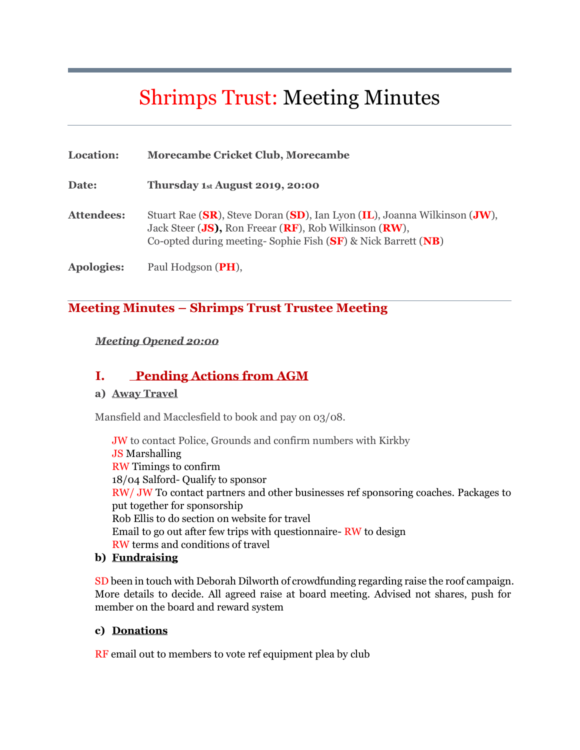# Shrimps Trust: Meeting Minutes

| Location:         | <b>Morecambe Cricket Club, Morecambe</b>                                                                                                                                                              |
|-------------------|-------------------------------------------------------------------------------------------------------------------------------------------------------------------------------------------------------|
| Date:             | Thursday 1st August 2019, 20:00                                                                                                                                                                       |
| <b>Attendees:</b> | Stuart Rae (SR), Steve Doran (SD), Ian Lyon (IL), Joanna Wilkinson (JW),<br>Jack Steer (JS), Ron Freear (RF), Rob Wilkinson (RW),<br>Co-opted during meeting-Sophie Fish $(SF)$ & Nick Barrett $(NB)$ |
| <b>Apologies:</b> | Paul Hodgson (PH),                                                                                                                                                                                    |

### **Meeting Minutes – Shrimps Trust Trustee Meeting**

#### *Meeting Opened 20:00*

## **I. Pending Actions from AGM**

#### **a) Away Travel**

Mansfield and Macclesfield to book and pay on 03/08.

JW to contact Police, Grounds and confirm numbers with Kirkby JS Marshalling RW Timings to confirm 18/04 Salford- Qualify to sponsor RW/ JW To contact partners and other businesses ref sponsoring coaches. Packages to put together for sponsorship Rob Ellis to do section on website for travel Email to go out after few trips with questionnaire- RW to design RW terms and conditions of travel

#### **b) Fundraising**

SD been in touch with Deborah Dilworth of crowdfunding regarding raise the roof campaign. More details to decide. All agreed raise at board meeting. Advised not shares, push for member on the board and reward system

#### **c) Donations**

RF email out to members to vote ref equipment plea by club